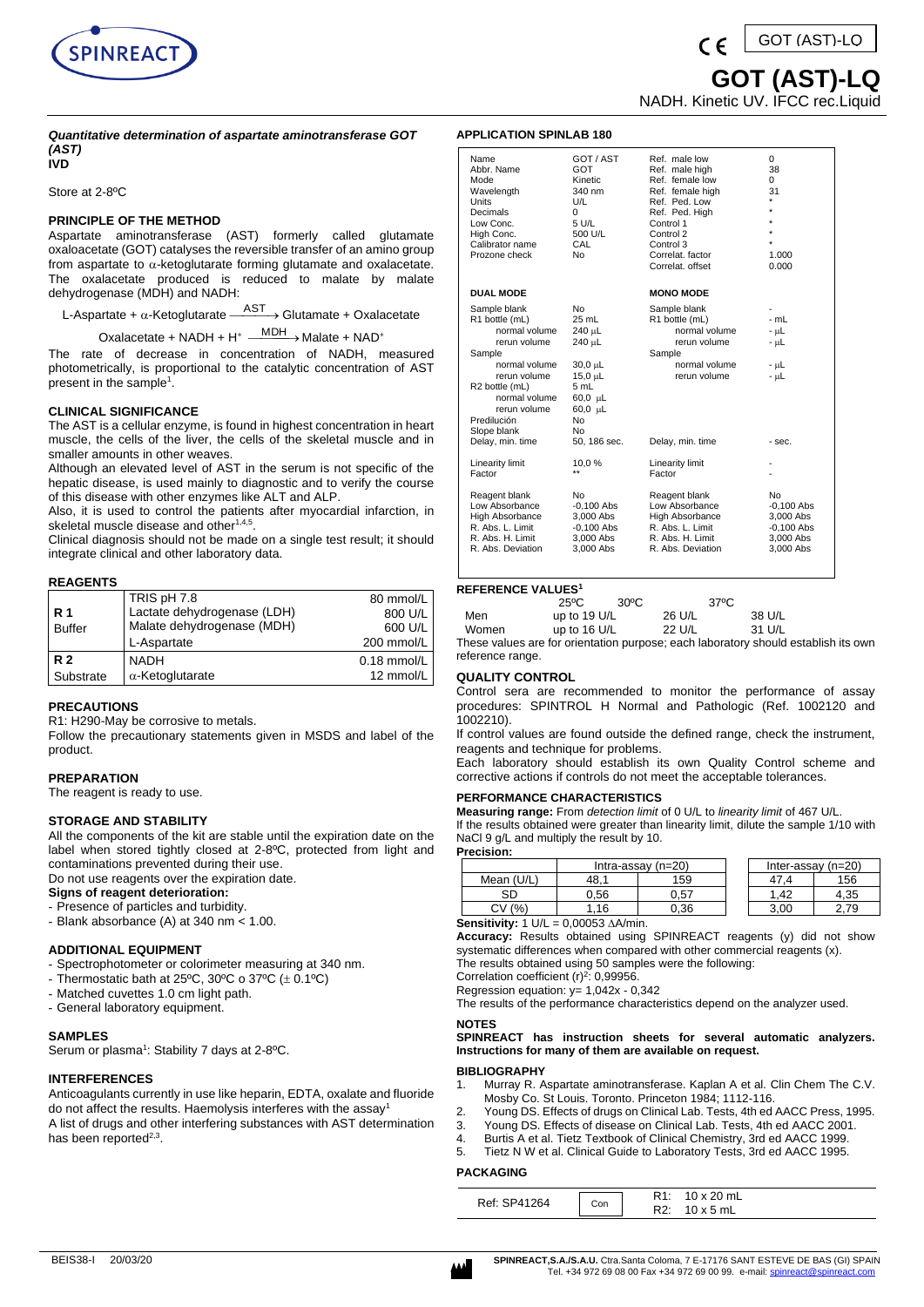

*Quantitative determination of aspartate aminotransferase GOT (AST)*

## **IVD**

Store at 2-8ºC

# **PRINCIPLE OF THE METHOD**

Aspartate aminotransferase (AST) formerly called glutamate oxaloacetate (GOT) catalyses the reversible transfer of an amino group from aspartate to  $\alpha$ -ketoglutarate forming glutamate and oxalacetate. The oxalacetate produced is reduced to malate by malate dehydrogenase (MDH) and NADH:

L-Aspartate +  $\alpha$ -Ketoglutarate  $\xrightarrow{\text{AST}}$  > Glutamate + Oxalacetate

 $Ox$ alacetate + NADH + H<sup>+</sup>  $\xrightarrow{MDH}$  Malate + NAD<sup>+</sup>

The rate of decrease in concentration of NADH, measured photometrically, is proportional to the catalytic concentration of AST present in the sample<sup>1</sup>.

## **CLINICAL SIGNIFICANCE**

The AST is a cellular enzyme, is found in highest concentration in heart muscle, the cells of the liver, the cells of the skeletal muscle and in smaller amounts in other weaves.

Although an elevated level of AST in the serum is not specific of the hepatic disease, is used mainly to diagnostic and to verify the course of this disease with other enzymes like ALT and ALP.

Also, it is used to control the patients after myocardial infarction, in skeletal muscle disease and other<sup>1,4,5</sup>.

Clinical diagnosis should not be made on a single test result; it should integrate clinical and other laboratory data.

## **REAGENTS**

| <b>R</b> 1<br><b>Buffer</b> | TRIS pH 7.8<br>Lactate dehydrogenase (LDH)<br>Malate dehydrogenase (MDH)<br>L-Aspartate | 80 mmol/L<br>800 U/L<br>600 U/L<br>200 mmol/L |
|-----------------------------|-----------------------------------------------------------------------------------------|-----------------------------------------------|
| <b>R2</b>                   | NADH                                                                                    | $0.18$ mmol/L                                 |
| Substrate                   | $\alpha$ -Ketoglutarate                                                                 | 12 mmol/L                                     |

# **PRECAUTIONS**

R1: H290-May be corrosive to metals.

Follow the precautionary statements given in MSDS and label of the product.

#### **PREPARATION**

The reagent is ready to use.

## **STORAGE AND STABILITY**

All the components of the kit are stable until the expiration date on the label when stored tightly closed at 2-8ºC, protected from light and contaminations prevented during their use.

Do not use reagents over the expiration date.

- **Signs of reagent deterioration:** - Presence of particles and turbidity.
- Blank absorbance (A) at 340 nm < 1.00.
- 

## **ADDITIONAL EQUIPMENT**

- Spectrophotometer or colorimeter measuring at 340 nm.
- Thermostatic bath at 25°C, 30°C o 37°C  $(\pm 0.1$ °C)
- Matched cuvettes 1.0 cm light path.
- General laboratory equipment.

# **SAMPLES**

Serum or plasma<sup>1</sup>: Stability 7 days at 2-8°C.

# **INTERFERENCES**

Anticoagulants currently in use like heparin, EDTA, oxalate and fluoride do not affect the results. Haemolysis interferes with the assay<sup>1</sup> A list of drugs and other interfering substances with AST determination has been reported<sup>2,3</sup>.

 **GOT (AST)-LQ** NADH. Kinetic UV. IFCC rec.Liquid

## **APPLICATION SPINLAB 180**

| Name<br>Abbr. Name<br>Mode<br>Wavelength<br>Units<br>Decimals<br>Low Conc.<br>High Conc.<br>Calibrator name<br>Prozone check                                                                                    | GOT / AST<br>GOT<br>Kinetic<br>340 nm<br>U/L<br>0<br>5 U/L<br>500 U/L<br>CAL<br><b>No</b>                                        | Ref. male low<br>Ref. male high<br>Ref. female low<br>Ref. female high<br>Ref. Ped. Low<br>Ref. Ped. High<br>Control 1<br>Control 2<br>Control 3<br>Correlat, factor<br>Correlat, offset | 0<br>38<br>0<br>31<br>$\star$<br>$\star$<br>$\star$<br>$\star$<br>1.000<br>0.000 |
|-----------------------------------------------------------------------------------------------------------------------------------------------------------------------------------------------------------------|----------------------------------------------------------------------------------------------------------------------------------|------------------------------------------------------------------------------------------------------------------------------------------------------------------------------------------|----------------------------------------------------------------------------------|
| <b>DUAL MODE</b>                                                                                                                                                                                                |                                                                                                                                  | <b>MONO MODE</b>                                                                                                                                                                         |                                                                                  |
| Sample blank<br>R1 bottle (mL)<br>normal volume<br>rerun volume<br>Sample<br>normal volume<br>rerun volume<br>R2 bottle (mL)<br>normal volume<br>rerun volume<br>Predilución<br>Slope blank<br>Delay, min. time | No<br>$25$ mL<br>240 µL<br>240 µL<br>$30,0 \mu L$<br>$15,0 \mu L$<br>5 mL<br>60,0 µL<br>$60,0 \mu L$<br>No<br>No<br>50, 186 sec. | Sample blank<br>R1 bottle (mL)<br>normal volume<br>rerun volume<br>Sample<br>normal volume<br>rerun volume<br>Delay, min. time                                                           | $-mL$<br>- աԼ<br>- µL<br>- µL<br>- µL<br>- sec.                                  |
| Linearity limit<br>Factor                                                                                                                                                                                       | 10,0%                                                                                                                            | Linearity limit<br>Factor                                                                                                                                                                |                                                                                  |
| Reagent blank<br>Low Absorbance<br>High Absorbance<br>R. Abs. L. Limit<br>R. Abs. H. Limit<br>R. Abs. Deviation                                                                                                 | N٥<br>$-0,100$ Abs<br>3,000 Abs<br>$-0,100$ Abs<br>3,000 Abs<br>3,000 Abs                                                        | Reagent blank<br>Low Absorbance<br><b>High Absorbance</b><br>R. Abs. L. Limit<br>R. Abs. H. Limit<br>R. Abs. Deviation                                                                   | No<br>$-0,100$ Abs<br>3,000 Abs<br>$-0,100$ Abs<br>3,000 Abs<br>3,000 Abs        |

# **REFERENCE VALUES<sup>1</sup>**

| LI LINLINUL VALULU |                |      |                |                                                                                       |
|--------------------|----------------|------|----------------|---------------------------------------------------------------------------------------|
|                    | 25°C           | 30°C | $37^{\circ}$ C |                                                                                       |
| Men                | up to 19 U/L   |      | 26 U/L         | 38 U/L                                                                                |
| Women              | up to $16$ U/L |      | 22 U/L         | 31 U/L                                                                                |
|                    |                |      |                | bici control di conservazione della componenza dell'Internazione di controllato della |

These values are for orientation purpose; each laboratory should establish its own reference range.

#### **QUALITY CONTROL**

Control sera are recommended to monitor the performance of assay procedures: SPINTROL H Normal and Pathologic (Ref. 1002120 and 1002210).

If control values are found outside the defined range, check the instrument, reagents and technique for problems.

Each laboratory should establish its own Quality Control scheme and corrective actions if controls do not meet the acceptable tolerances.

#### **PERFORMANCE CHARACTERISTICS**

**Measuring range:** From *detection limit* of 0 U/L to *linearity limit* of 467 U/L. If the results obtained were greater than linearity limit, dilute the sample 1/10 with NaCl 9 g/L and multiply the result by 10.

|   | <b>Precision:</b> |      |                      |                      |      |
|---|-------------------|------|----------------------|----------------------|------|
|   |                   |      | Intra-assay $(n=20)$ | Inter-assay $(n=20)$ |      |
|   | Mean (U/L)        | 18.  | 59                   | 47.4                 | 156  |
|   | SD                | 0.56 | 0.57                 | 1.42                 | 4,35 |
|   |                   | .16  | 0.36                 | 3.00                 |      |
| - | .<br>.            |      |                      |                      |      |

**Sensitivity:**  $1 \text{ U/L} = 0.00053 \text{ A/A/min}.$ 

**Accuracy:** Results obtained using SPINREACT reagents (y) did not show systematic differences when compared with other commercial reagents (x). The results obtained using 50 samples were the following:

Correlation coefficient  $(r)^2$ : 0,99956.

Regression equation: y= 1,042x - 0,342

The results of the performance characteristics depend on the analyzer used.

#### **NOTES**

## **SPINREACT has instruction sheets for several automatic analyzers. Instructions for many of them are available on request.**

## **BIBLIOGRAPHY**

- 1. Murray R. Aspartate aminotransferase. Kaplan A et al. Clin Chem The C.V. Mosby Co. St Louis. Toronto. Princeton 1984; 1112-116.
- 2. Young DS. Effects of drugs on Clinical Lab. Tests, 4th ed AACC Press, 1995.
- 3. Young DS. Effects of disease on Clinical Lab. Tests, 4th ed AACC 2001.
- 4. Burtis A et al. Tietz Textbook of Clinical Chemistry, 3rd ed AACC 1999.<br>5. Tietz N.W. et al. Clinical Guide to Laboratory Tests, 3rd ed AACC 1995. 5. Tietz N W et al. Clinical Guide to Laboratory Tests, 3rd ed AACC 1995.

# **PACKAGING**

| Ref: SP41264<br>Con | $2 \times 20$ mL<br>R1:<br>.11<br>5 mL<br>ה הם |
|---------------------|------------------------------------------------|
|---------------------|------------------------------------------------|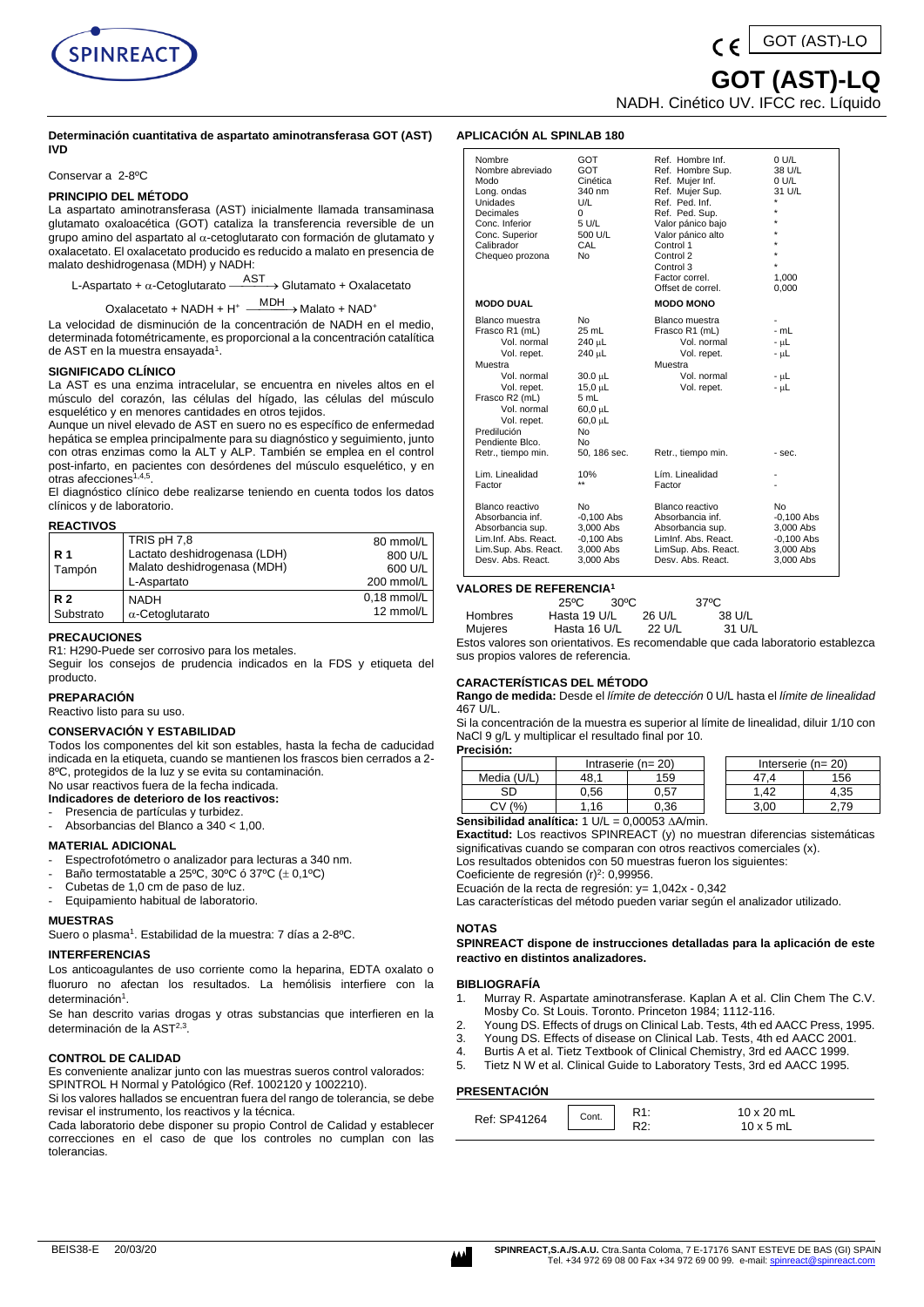

#### **Determinación cuantitativa de aspartato aminotransferasa GOT (AST) IVD**

Conservar a 2-8ºC

# **PRINCIPIO DEL MÉTODO**

La aspartato aminotransferasa (AST) inicialmente llamada transaminasa glutamato oxaloacética (GOT) cataliza la transferencia reversible de un grupo amino del aspartato al  $\alpha$ -cetoglutarato con formación de glutamato y oxalacetato. El oxalacetato producido es reducido a malato en presencia de malato deshidrogenasa (MDH) y NADH:

L-Aspartato +  $\alpha$ -Cetoglutarato  $\xrightarrow{\rm AST}$  > Glutamato + Oxalacetato

Oxalacetato + NADH + H<sup>+</sup> MDH > Malato + NAD<sup>+</sup>

La velocidad de disminución de la concentración de NADH en el medio, determinada fotométricamente, es proporcional a la concentración catalítica de AST en la muestra ensayada<sup>1</sup>.

## **SIGNIFICADO CLÍNICO**

La AST es una enzima intracelular, se encuentra en niveles altos en el músculo del corazón, las células del hígado, las células del músculo esquelético y en menores cantidades en otros tejidos.

Aunque un nivel elevado de AST en suero no es específico de enfermedad hepática se emplea principalmente para su diagnóstico y seguimiento, junto con otras enzimas como la ALT y ALP. También se emplea en el control post-infarto, en pacientes con desórdenes del músculo esquelético, y en otras afecciones<sup>1,4,5</sup>.

El diagnóstico clínico debe realizarse teniendo en cuenta todos los datos clínicos y de laboratorio.

## **REACTIVOS**

|                | TRIS pH 7,8                  | 80 mmol/L     |
|----------------|------------------------------|---------------|
| R 1            | Lactato deshidrogenasa (LDH) | 800 U/L       |
| Tampón         | Malato deshidrogenasa (MDH)  | 600 U/L       |
|                | L-Aspartato                  | 200 mmol/L    |
| R <sub>2</sub> | <b>NADH</b>                  | $0.18$ mmol/L |
| Substrato      | $\alpha$ -Cetoglutarato      | 12 mmol/L     |

#### **PRECAUCIONES**

R1: H290-Puede ser corrosivo para los metales. Seguir los consejos de prudencia indicados en la FDS y etiqueta del producto.

# **PREPARACIÓN**

Reactivo listo para su uso.

#### **CONSERVACIÓN Y ESTABILIDAD**

Todos los componentes del kit son estables, hasta la fecha de caducidad indicada en la etiqueta, cuando se mantienen los frascos bien cerrados a 2- 8ºC, protegidos de la luz y se evita su contaminación.

No usar reactivos fuera de la fecha indicada. **Indicadores de deterioro de los reactivos:**

Presencia de partículas y turbidez.

- Absorbancias del Blanco a 340 < 1,00.
- **MATERIAL ADICIONAL**

- Espectrofotómetro o analizador para lecturas a 340 nm.
- Baño termostatable a 25°C, 30°C ó 37°C ( $\pm$  0,1°C)
- Cubetas de 1,0 cm de paso de luz.
- Equipamiento habitual de laboratorio.

#### **MUESTRAS**

Suero o plasma<sup>1</sup>. Estabilidad de la muestra: 7 días a 2-8°C.

#### **INTERFERENCIAS**

Los anticoagulantes de uso corriente como la heparina, EDTA oxalato o fluoruro no afectan los resultados. La hemólisis interfiere con la determinación<sup>1</sup>.

Se han descrito varias drogas y otras substancias que interfieren en la determinación de la AST<sup>2,3</sup>.

#### **CONTROL DE CALIDAD**

Es conveniente analizar junto con las muestras sueros control valorados: SPINTROL H Normal y Patológico (Ref. 1002120 y 1002210).

Si los valores hallados se encuentran fuera del rango de tolerancia, se debe revisar el instrumento, los reactivos y la técnica.

Cada laboratorio debe disponer su propio Control de Calidad y establecer correcciones en el caso de que los controles no cumplan con las tolerancias.

 **GOT (AST)-LQ**

GOT (AST)-LQ

NADH. Cinético UV. IFCC rec. Líquido

# **APLICACIÓN AL SPINLAB 180**

| Nombre<br>Nombre abreviado<br>Modo<br>Long. ondas<br><b>Unidades</b><br>Decimales<br>Conc. Inferior<br>Conc. Superior<br>Calibrador<br>Chequeo prozona                                                          | GOT<br><b>GOT</b><br>Cinética<br>340 nm<br>U/L<br>0<br>5 U/L<br>500 U/L<br>CAL<br>No                                                                | Ref. Hombre Inf.<br>Ref. Hombre Sup.<br>Ref. Mujer Inf.<br>Ref. Mujer Sup.<br>Ref. Ped. Inf.<br>Ref. Ped. Sup.<br>Valor pánico bajo<br>Valor pánico alto<br>Control 1<br>Control 2<br>Control 3<br>Factor correl.<br>Offset de correl. | 0 U/L<br>38 U/L<br>0 U/L<br>31 U/L<br>٠<br>$\star$<br>$\star$<br>1,000<br>0,000 |
|-----------------------------------------------------------------------------------------------------------------------------------------------------------------------------------------------------------------|-----------------------------------------------------------------------------------------------------------------------------------------------------|----------------------------------------------------------------------------------------------------------------------------------------------------------------------------------------------------------------------------------------|---------------------------------------------------------------------------------|
| <b>MODO DUAL</b>                                                                                                                                                                                                |                                                                                                                                                     | <b>MODO MONO</b>                                                                                                                                                                                                                       |                                                                                 |
| Blanco muestra<br>Frasco R1 (mL)<br>Vol. normal<br>Vol. repet.<br>Muestra<br>Vol. normal<br>Vol. repet.<br>Frasco R2 (mL)<br>Vol. normal<br>Vol. repet.<br>Predilución<br>Pendiente Blco.<br>Retr., tiempo min. | N <sub>0</sub><br>$25$ mL<br>240 µL<br>240 µL<br>30.0 µL<br>$15.0 \mu L$<br>5 mL<br>$60.0 \mu L$<br>$60.0 \mu L$<br><b>No</b><br>No<br>50, 186 sec. | Blanco muestra<br>Frasco R1 (mL)<br>Vol. normal<br>Vol. repet.<br>Muestra<br>Vol. normal<br>Vol. repet.<br>Retr., tiempo min.                                                                                                          | $-mL$<br>- uL<br>- uL<br>- uL<br>- uL<br>$-$ sec.                               |
| Lim. Linealidad                                                                                                                                                                                                 | 10%                                                                                                                                                 | Lím. Linealidad                                                                                                                                                                                                                        |                                                                                 |
| Factor                                                                                                                                                                                                          | $\star\star$                                                                                                                                        | Factor                                                                                                                                                                                                                                 |                                                                                 |
| Blanco reactivo<br>Absorbancia inf.<br>Absorbancia sup.<br>Lim.Inf. Abs. React.<br>Lim.Sup. Abs. React.<br>Desy, Abs. React.                                                                                    | No<br>$-0.100$ Abs<br>3,000 Abs<br>$-0.100$ Abs<br>3,000 Abs<br>3,000 Abs                                                                           | Blanco reactivo<br>Absorbancia inf.<br>Absorbancia sup.<br>Liminf. Abs. React.<br>LimSup. Abs. React.<br>Desy, Abs. React.                                                                                                             | No<br>$-0.100$ Abs<br>3,000 Abs<br>$-0.100$ Abs<br>3,000 Abs<br>3,000 Abs       |

## **VALORES DE REFERENCIA<sup>1</sup>**

|                | 25°C         | $30^{\circ}$ C | $37^{\circ}$ C |                                                                                 |
|----------------|--------------|----------------|----------------|---------------------------------------------------------------------------------|
| <b>Hombres</b> | Hasta 19 U/L | 26 U/L         | 38 U/L         |                                                                                 |
| Muieres        | Hasta 16 U/L | 22 U/L         | 31 U/L         |                                                                                 |
|                |              |                |                | Estos valores son orientativos. Es recomendable que cada laboratorio establezca |

sus propios valores de referencia.

#### **CARACTERÍSTICAS DEL MÉTODO**

**Rango de medida:** Desde el *límite de detección* 0 U/L hasta el *límite de linealidad* 467 U/L.

Si la concentración de la muestra es superior al límite de linealidad, diluir 1/10 con NaCl 9 g/L y multiplicar el resultado final por 10. **Precisión:**

|             | Intraserie ( $n = 20$ ) |      | Interserie ( $n = 20$ ) |      |      |
|-------------|-------------------------|------|-------------------------|------|------|
| Media (U/L) | 48.                     | 159  |                         |      | 156  |
| SD          | ა.56                    | 0.57 |                         | .42  | 4.35 |
| 0⁄۵<br>C٧   | .16                     | ).36 |                         | 3.00 |      |

**Sensibilidad analítica:** 1 U/L = 0,00053  $\triangle A/min$ .

**Exactitud:** Los reactivos SPINREACT (y) no muestran diferencias sistemáticas significativas cuando se comparan con otros reactivos comerciales (x). Los resultados obtenidos con 50 muestras fueron los siguientes:

Coeficiente de regresión (r)<sup>2</sup>: 0,99956.

Ecuación de la recta de regresión: y= 1,042x - 0,342

Las características del método pueden variar según el analizador utilizado.

#### **NOTAS**

**SPINREACT dispone de instrucciones detalladas para la aplicación de este reactivo en distintos analizadores.** 

#### **BIBLIOGRAFÍA**

- 1. Murray R. Aspartate aminotransferase. Kaplan A et al. Clin Chem The C.V. Mosby Co. St Louis. Toronto. Princeton 1984; 1112-116.
- 2. Young DS. Effects of drugs on Clinical Lab. Tests, 4th ed AACC Press, 1995.
- 3. Young DS. Effects of disease on Clinical Lab. Tests, 4th ed AACC 2001.
- 4. Burtis A et al. Tietz Textbook of Clinical Chemistry, 3rd ed AACC 1999.
- 5. Tietz N W et al. Clinical Guide to Laboratory Tests, 3rd ed AACC 1995.

#### **PRESENTACIÓN**

| Ref: SP41264 | R <sub>1</sub><br>Cont.<br>NI. | 10 x 20 mL<br>$10 \times 5$ mL |  |
|--------------|--------------------------------|--------------------------------|--|
|--------------|--------------------------------|--------------------------------|--|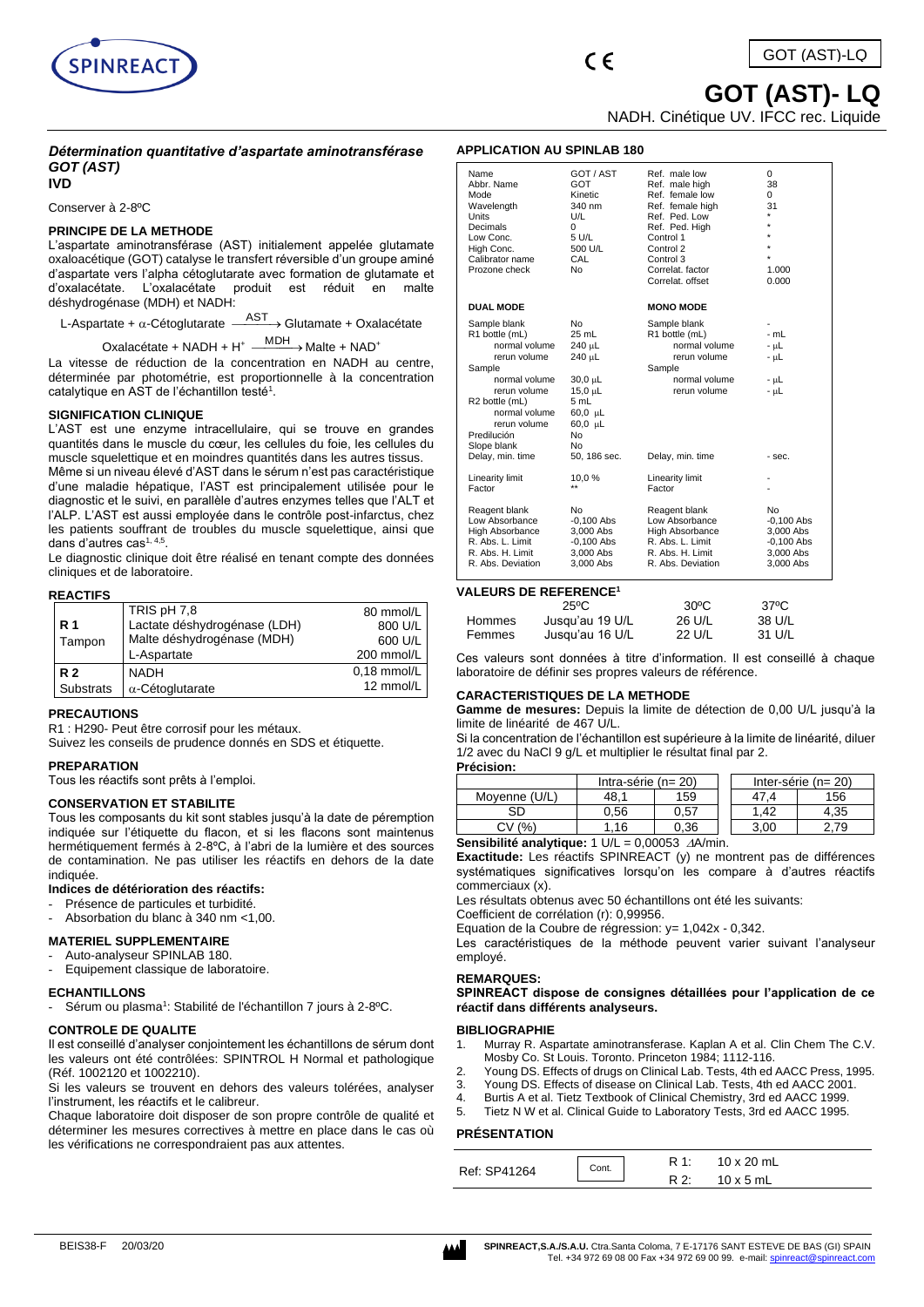

 **GOT (AST)- LQ**

NADH. Cinétique UV. IFCC rec. Liquide

# *Détermination quantitative d'aspartate aminotransférase GOT (AST)* **IVD**

Conserver à 2-8ºC

## **PRINCIPE DE LA METHODE**

L'aspartate aminotransférase (AST) initialement appelée glutamate oxaloacétique (GOT) catalyse le transfert réversible d'un groupe aminé d'aspartate vers l'alpha cétoglutarate avec formation de glutamate et d'oxalacétate. L'oxalacétate déshydrogénase (MDH) et NADH:

L-Aspartate +  $\alpha$ -Cétoglutarate  $-$ AST Glutamate + Oxalacétate

Oxalacétate + NADH + H<sup>+</sup>  $\frac{MDH}{\longrightarrow}$ Malte + NAD<sup>+</sup>

La vitesse de réduction de la concentration en NADH au centre, déterminée par photométrie, est proportionnelle à la concentration catalytique en AST de l'échantillon testé<sup>1</sup>.

# **SIGNIFICATION CLINIQUE**

L'AST est une enzyme intracellulaire, qui se trouve en grandes quantités dans le muscle du cœur, les cellules du foie, les cellules du muscle squelettique et en moindres quantités dans les autres tissus. Même si un niveau élevé d'AST dans le sérum n'est pas caractéristique d'une maladie hépatique, l'AST est principalement utilisée pour le diagnostic et le suivi, en parallèle d'autres enzymes telles que l'ALT et l'ALP. L'AST est aussi employée dans le contrôle post-infarctus, chez les patients souffrant de troubles du muscle squelettique, ainsi que dans d'autres cas<sup>1, 4,5</sup>.

Le diagnostic clinique doit être réalisé en tenant compte des données cliniques et de laboratoire.

## **REACTIFS**

|                  | TRIS pH 7.8                  | 80 mmol/L     |
|------------------|------------------------------|---------------|
| <b>R</b> 1       | Lactate déshydrogénase (LDH) | 800 U/L       |
| Tampon           | Malte déshydrogénase (MDH)   | 600 U/L       |
|                  | L-Aspartate                  | 200 mmol/L    |
| R <sub>2</sub>   | <b>NADH</b>                  | $0.18$ mmol/L |
| <b>Substrats</b> | $\alpha$ -Cétoglutarate      | 12 mmol/L     |
|                  |                              |               |

## **PRECAUTIONS**

R1 : H290- Peut être corrosif pour les métaux.

Suivez les conseils de prudence donnés en SDS et étiquette.

#### **PREPARATION**

Tous les réactifs sont prêts à l'emploi.

#### **CONSERVATION ET STABILITE**

Tous les composants du kit sont stables jusqu'à la date de péremption indiquée sur l'étiquette du flacon, et si les flacons sont maintenus hermétiquement fermés à 2-8ºC, à l'abri de la lumière et des sources de contamination. Ne pas utiliser les réactifs en dehors de la date indiquée.

# **Indices de détérioration des réactifs:**

- Présence de particules et turbidité.
- Absorbation du blanc à 340 nm <1,00.

# **MATERIEL SUPPLEMENTAIRE**

- Auto-analyseur SPINLAB 180.
- Equipement classique de laboratoire.

#### **ECHANTILLONS**

- Sérum ou plasma<sup>1</sup>: Stabilité de l'échantillon 7 jours à 2-8°C.

## **CONTROLE DE QUALITE**

Il est conseillé d'analyser conjointement les échantillons de sérum dont les valeurs ont été contrôlées: SPINTROL H Normal et pathologique (Réf. 1002120 et 1002210).

Si les valeurs se trouvent en dehors des valeurs tolérées, analyser l'instrument, les réactifs et le calibreur.

Chaque laboratoire doit disposer de son propre contrôle de qualité et déterminer les mesures correctives à mettre en place dans le cas où les vérifications ne correspondraient pas aux attentes.

# **APPLICATION AU SPINLAB 180**

| Name<br>Abbr. Name<br>Mode<br>Wavelength<br><b>Units</b><br>Decimals<br>Low Conc.<br>High Conc.<br>Calibrator name<br>Prozone check                                                                                         | GOT / AST<br>GOT<br>Kinetic<br>340 nm<br>U/L<br>0<br>5 U/L<br>500 U/L<br>CAL<br>No                              | Ref. male low<br>Ref. male high<br>Ref. female low<br>Ref. female high<br>Ref. Ped. Low<br>Ref. Ped. High<br>Control 1<br>Control 2<br>Control 3<br>Correlat, factor<br>Correlat, offset | $\Omega$<br>38<br>0<br>31<br>$\star$<br>$\star$<br>$\star$<br>$\star$<br>$\star$<br>1.000<br>0.000 |
|-----------------------------------------------------------------------------------------------------------------------------------------------------------------------------------------------------------------------------|-----------------------------------------------------------------------------------------------------------------|------------------------------------------------------------------------------------------------------------------------------------------------------------------------------------------|----------------------------------------------------------------------------------------------------|
| <b>DUAL MODE</b>                                                                                                                                                                                                            |                                                                                                                 | <b>MONO MODE</b>                                                                                                                                                                         |                                                                                                    |
| Sample blank<br>R1 bottle (mL)<br>normal volume<br>rerun volume<br>Sample<br>normal volume<br>rerun volume<br>R <sub>2</sub> bottle (mL)<br>normal volume<br>rerun volume<br>Predilución<br>Slope blank<br>Delay, min. time | No<br>25 mL<br>240 µL<br>240 µL<br>30,0 µL<br>15,0 µL<br>5 mL<br>60,0 µL<br>60,0 µL<br>No<br>No<br>50, 186 sec. | Sample blank<br>R1 bottle (mL)<br>normal volume<br>rerun volume<br>Sample<br>normal volume<br>rerun volume<br>Delay, min. time                                                           | $-mL$<br>- uL<br>- uL<br>- uL<br>- սԼ<br>- sec.                                                    |
| Linearity limit<br>Factor                                                                                                                                                                                                   | 10,0%                                                                                                           | Linearity limit<br>Factor                                                                                                                                                                |                                                                                                    |
| Reagent blank<br>Low Absorbance<br>High Absorbance<br>R. Abs. L. Limit<br>R. Abs. H. Limit<br>R. Abs. Deviation                                                                                                             | No<br>$-0.100$ Abs<br>3,000 Abs<br>$-0,100$ Abs<br>3.000 Abs<br>3,000 Abs                                       | Reagent blank<br>Low Absorbance<br><b>High Absorbance</b><br>R. Abs. L. Limit<br>R. Abs. H. Limit<br>R. Abs. Deviation                                                                   | No<br>$-0.100$ Abs<br>3,000 Abs<br>$-0,100$ Abs<br>3.000 Abs<br>3,000 Abs                          |

## **VALEURS DE REFERENCE<sup>1</sup>**

|               | 25ºC            | $30^{\circ}$ C | $37^{\circ}$ C |
|---------------|-----------------|----------------|----------------|
| <b>Hommes</b> | Jusqu'au 19 U/L | 26 U/L         | 38 U/L         |
| Femmes        | Jusqu'au 16 U/L | 22 U/L         | 31 U/L         |

Ces valeurs sont données à titre d'information. Il est conseillé à chaque laboratoire de définir ses propres valeurs de référence.

## **CARACTERISTIQUES DE LA METHODE**

**Gamme de mesures:** Depuis la limite de détection de 0,00 U/L jusqu'à la limite de linéarité de 467 U/L.

Si la concentration de l'échantillon est supérieure à la limite de linéarité, diluer 1/2 avec du NaCl 9 g/L et multiplier le résultat final par 2.

#### **Précision:**

|               | Intra-série ( $n = 20$ ) |      |  | Inter-série ( $n = 20$ ) |      |  |
|---------------|--------------------------|------|--|--------------------------|------|--|
| Movenne (U/L) | 48.1                     | 159  |  |                          | 156  |  |
| SD            | 0.56                     | 0.57 |  | 1.42                     | 4.35 |  |
| (%)<br>СV     | 16                       | 0.36 |  | 3.00                     | 2.79 |  |

**Sensibilité analytique:** 1 U/L = 0,00053  $\triangle A$ /min.

**Exactitude:** Les réactifs SPINREACT (y) ne montrent pas de différences systématiques significatives lorsqu'on les compare à d'autres réactifs commerciaux (x).

Les résultats obtenus avec 50 échantillons ont été les suivants:

Coefficient de corrélation (r): 0,99956.

Equation de la Coubre de régression: y= 1,042x - 0,342.

Les caractéristiques de la méthode peuvent varier suivant l'analyseur employé.

## **REMARQUES:**

**SPINREACT dispose de consignes détaillées pour l'application de ce réactif dans différents analyseurs.**

## **BIBLIOGRAPHIE**

- 1. Murray R. Aspartate aminotransferase. Kaplan A et al. Clin Chem The C.V. Mosby Co. St Louis. Toronto. Princeton 1984; 1112-116.
- Young DS. Effects of drugs on Clinical Lab. Tests, 4th ed AACC Press, 1995.
- 3. Young DS. Effects of disease on Clinical Lab. Tests, 4th ed AACC 2001.
- 4. Burtis A et al. Tietz Textbook of Clinical Chemistry, 3rd ed AACC 1999.
- 5. Tietz N W et al. Clinical Guide to Laboratory Tests, 3rd ed AACC 1995.

## **PRÉSENTATION**

| Ref: SP41264 | Cont. | $10 \times 20$ mL |
|--------------|-------|-------------------|
|              |       | $10 \times 5$ mL  |